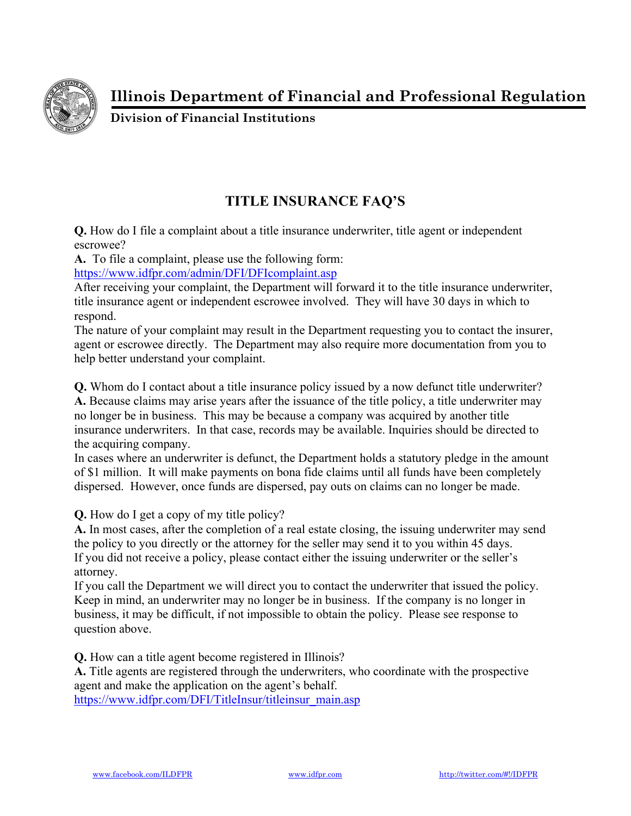

**Illinois Department of Financial and Professional Regulation** 

**Division of Financial Institutions** 

## **TITLE INSURANCE FAQ'S**

**Q.** How do I file a complaint about a title insurance underwriter, title agent or independent escrowee?

**A.** To file a complaint, please use the following form:

https://www.idfpr.com/admin/DFI/DFIcomplaint.asp

After receiving your complaint, the Department will forward it to the title insurance underwriter, title insurance agent or independent escrowee involved. They will have 30 days in which to respond.

The nature of your complaint may result in the Department requesting you to contact the insurer, agent or escrowee directly. The Department may also require more documentation from you to help better understand your complaint.

**Q.** Whom do I contact about a title insurance policy issued by a now defunct title underwriter? **A.** Because claims may arise years after the issuance of the title policy, a title underwriter may no longer be in business. This may be because a company was acquired by another title insurance underwriters. In that case, records may be available. Inquiries should be directed to the acquiring company.

In cases where an underwriter is defunct, the Department holds a statutory pledge in the amount of \$1 million. It will make payments on bona fide claims until all funds have been completely dispersed. However, once funds are dispersed, pay outs on claims can no longer be made.

**Q.** How do I get a copy of my title policy?

**A.** In most cases, after the completion of a real estate closing, the issuing underwriter may send the policy to you directly or the attorney for the seller may send it to you within 45 days. If you did not receive a policy, please contact either the issuing underwriter or the seller's attorney.

If you call the Department we will direct you to contact the underwriter that issued the policy. Keep in mind, an underwriter may no longer be in business. If the company is no longer in business, it may be difficult, if not impossible to obtain the policy. Please see response to question above.

**Q.** How can a title agent become registered in Illinois?

**A.** Title agents are registered through the underwriters, who coordinate with the prospective agent and make the application on the agent's behalf.

https://www.idfpr.com/DFI/TitleInsur/titleinsur\_main.asp